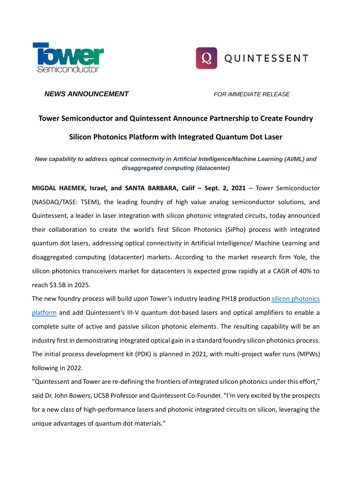



# *NEWS ANNOUNCEMENT FOR IMMEDIATE RELEASE*

# **Tower Semiconductor and Quintessent Announce Partnership to Create Foundry Silicon Photonics Platform with Integrated Quantum Dot Laser**

*New capability to address optical connectivity in Artificial Intelligence/Machine Learning (AI/ML) and disaggregated computing (datacenter)*

**MIGDAL HAEMEK, Israel, and SANTA BARBARA, Calif – Sept. 2, 2021** – Tower Semiconductor (NASDAQ/TASE: TSEM), the leading foundry of high value analog semiconductor solutions, and Quintessent, a leader in laser integration with silicon photonic integrated circuits, today announced their collaboration to create the world's first Silicon Photonics (SiPho) process with integrated quantum dot lasers, addressing optical connectivity in Artificial Intelligence/ Machine Learning and disaggregated computing (datacenter) markets. According to the market research firm Yole, the silicon photonics transceivers market for datacenters is expected grow rapidly at a CAGR of 40% to reach \$3.5B in 2025.

The new foundry process will build upon Tower's industry leading PH18 production [silicon photonics](https://towersemi.com/technology/rf-and-hpa/silicon-photonics-rf/)  [platform](https://towersemi.com/technology/rf-and-hpa/silicon-photonics-rf/) and add Quintessent's III-V quantum dot-based lasers and optical amplifiers to enable a complete suite of active and passive silicon photonic elements. The resulting capability will be an industry first in demonstrating integrated optical gain in a standard foundry silicon photonics process. The initial process development kit (PDK) is planned in 2021, with multi-project wafer runs (MPWs) following in 2022.

"Quintessent and Tower are re-defining the frontiers of integrated silicon photonics under this effort," said Dr. John Bowers, UCSB Professor and Quintessent Co-Founder. "I'm very excited by the prospects for a new class of high-performance lasers and photonic integrated circuits on silicon, leveraging the unique advantages of quantum dot materials."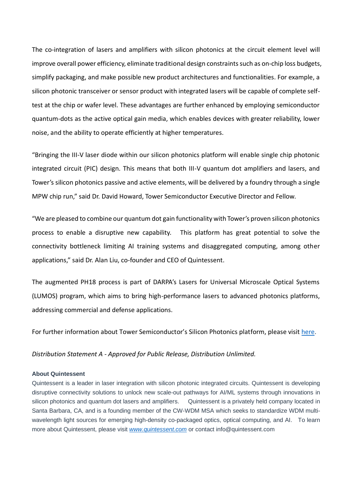The co-integration of lasers and amplifiers with silicon photonics at the circuit element level will improve overall power efficiency, eliminate traditional design constraints such as on-chip loss budgets, simplify packaging, and make possible new product architectures and functionalities. For example, a silicon photonic transceiver or sensor product with integrated lasers will be capable of complete selftest at the chip or wafer level. These advantages are further enhanced by employing semiconductor quantum-dots as the active optical gain media, which enables devices with greater reliability, lower noise, and the ability to operate efficiently at higher temperatures.

"Bringing the III-V laser diode within our silicon photonics platform will enable single chip photonic integrated circuit (PIC) design. This means that both III-V quantum dot amplifiers and lasers, and Tower's silicon photonics passive and active elements, will be delivered by a foundry through a single MPW chip run," said Dr. David Howard, Tower Semiconductor Executive Director and Fellow.

"We are pleased to combine our quantum dot gain functionality with Tower's proven silicon photonics process to enable a disruptive new capability. This platform has great potential to solve the connectivity bottleneck limiting AI training systems and disaggregated computing, among other applications," said Dr. Alan Liu, co-founder and CEO of Quintessent.

The augmented PH18 process is part of DARPA's Lasers for Universal Microscale Optical Systems (LUMOS) program, which aims to bring high-performance lasers to advanced photonics platforms, addressing commercial and defense applications.

For further information about Tower Semiconductor's Silicon Photonics platform, please visi[t here.](https://towersemi.com/technology/rf-and-hpa/silicon-photonics-rf/)

*Distribution Statement A - Approved for Public Release, Distribution Unlimited.*

## **About Quintessent**

Quintessent is a leader in laser integration with silicon photonic integrated circuits. Quintessent is developing disruptive connectivity solutions to unlock new scale-out pathways for AI/ML systems through innovations in silicon photonics and quantum dot lasers and amplifiers. Quintessent is a privately held company located in Santa Barbara, CA, and is a founding member of the CW-WDM MSA which seeks to standardize WDM multiwavelength light sources for emerging high-density co-packaged optics, optical computing, and AI. To learn more about Quintessent, please visit *[www.quintessent.com](http://www.quintessent.com/)* or contact info@quintessent.com